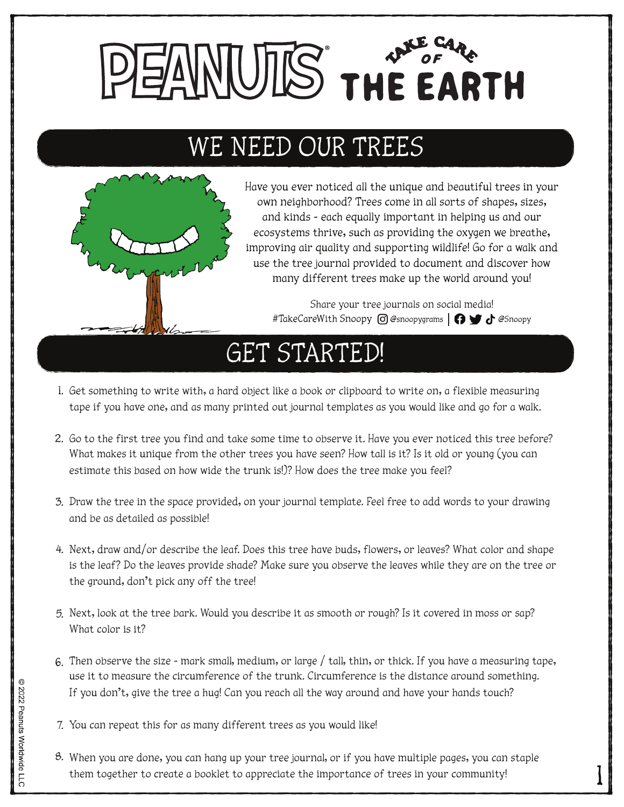## PEANUTIS THE EARTH

## WE NEED OUR TREES



Have you ever noticed all the unique and beautiful trees in your own neighborhood? Trees come in all sorts of shapes, sizes, and kinds - each equally important in helping us and our ecosystems thrive, such as providing the oxygen we breathe, improving air quality and supporting wildlife! Go for a walk and use the tree journal provided to document and discover how many different trees make up the world around you!

Share your tree journals on social media! #TakeCareWith Snoopy [O] @snoopygrams |  $\bigcap$   $\bigcup$   $\bigcup$  @Snoopy

1

## GET STARTED!

- l. Get something to write with, a hard object like a book or clipboard to write on, a flexible measuring tape if you have one, and as many printed out journal templates as you would like and go for a walk.
- 2. Go to the first tree you find and take some time to observe it. Have you ever noticed this tree before? What makes it unique from the other trees you have seen? How tall is it? Is it old or young (you can estimate this based on how wide the trunk is!)? How does the tree make you feel?
- 3. Draw the tree in the space provided, on your journal template. Feel free to add words to your drawing and be as detailed as possible!
- 4. Next, draw and/or describe the leaf. Does this tree have buds, flowers, or leaves? What color and shape is the leaf? Do the leaves provide shade? Make sure you observe the leaves while they are on the tree or the ground, don't pick any off the tree!
- Next, look at the tree bark. Would you describe it as smooth or rough? Is it covered in moss or sap? 5. What color is it?
- 6. Then observe the size mark small, medium, or large  $/$  tall, thin, or thick. If you have a measuring tape, use it to measure the circumference of the trunk. Circumference is the distance around something. If you don't, give the tree a hug! Can you reach all the way around and have your hands touch?
- 7. You can repeat this for as many different trees as you would like!
- When you are done, you can hang up your tree journal, or if you have multiple pages, you can staple 8. them together to create a booklet to appreciate the importance of trees in your community!